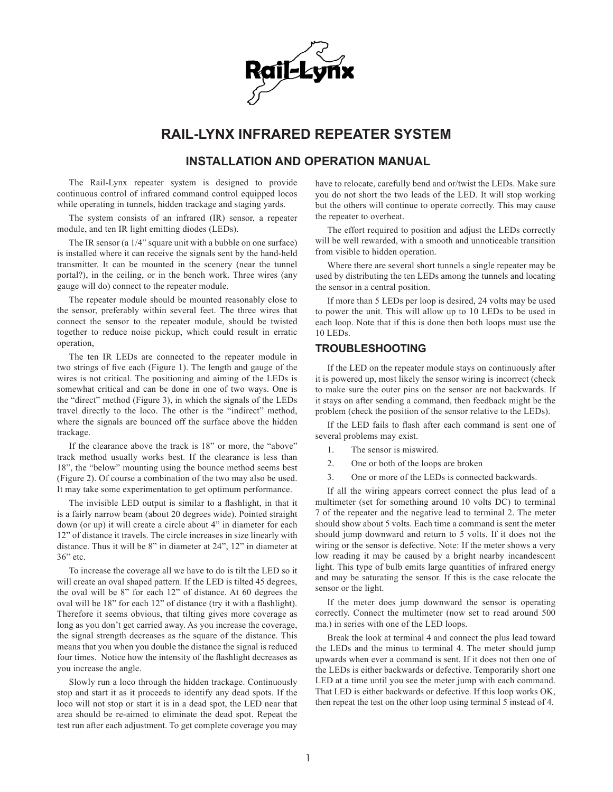

## **RAIL-LYNX INFRARED REPEATER SYSTEM**

## **INSTALLATION AND OPERATION MANUAL**

The Rail-Lynx repeater system is designed to provide continuous control of infrared command control equipped locos while operating in tunnels, hidden trackage and staging yards.

The system consists of an infrared (IR) sensor, a repeater module, and ten IR light emitting diodes (LEDs).

The IR sensor (a 1/4" square unit with a bubble on one surface) is installed where it can receive the signals sent by the hand-held transmitter. It can be mounted in the scenery (near the tunnel portal?), in the ceiling, or in the bench work. Three wires (any gauge will do) connect to the repeater module.

The repeater module should be mounted reasonably close to the sensor, preferably within several feet. The three wires that connect the sensor to the repeater module, should be twisted together to reduce noise pickup, which could result in erratic operation,

The ten IR LEDs are connected to the repeater module in two strings of five each (Figure 1). The length and gauge of the wires is not critical. The positioning and aiming of the LEDs is somewhat critical and can be done in one of two ways. One is the "direct" method (Figure 3), in which the signals of the LEDs travel directly to the loco. The other is the "indirect" method, where the signals are bounced off the surface above the hidden trackage.

If the clearance above the track is 18" or more, the "above" track method usually works best. If the clearance is less than 18", the "below" mounting using the bounce method seems best (Figure 2). Of course a combination of the two may also be used. It may take some experimentation to get optimum performance.

The invisible LED output is similar to a flashlight, in that it is a fairly narrow beam (about 20 degrees wide). Pointed straight down (or up) it will create a circle about 4" in diameter for each 12" of distance it travels. The circle increases in size linearly with distance. Thus it will be 8" in diameter at 24", 12" in diameter at 36" etc.

To increase the coverage all we have to do is tilt the LED so it will create an oval shaped pattern. If the LED is tilted 45 degrees, the oval will be 8" for each 12" of distance. At 60 degrees the oval will be 18" for each 12" of distance (try it with a flashlight). Therefore it seems obvious, that tilting gives more coverage as long as you don't get carried away. As you increase the coverage, the signal strength decreases as the square of the distance. This means that you when you double the distance the signal is reduced four times. Notice how the intensity of the flashlight decreases as you increase the angle.

Slowly run a loco through the hidden trackage. Continuously stop and start it as it proceeds to identify any dead spots. If the loco will not stop or start it is in a dead spot, the LED near that area should be re-aimed to eliminate the dead spot. Repeat the test run after each adjustment. To get complete coverage you may have to relocate, carefully bend and or/twist the LEDs. Make sure you do not short the two leads of the LED. It will stop working but the others will continue to operate correctly. This may cause the repeater to overheat.

The effort required to position and adjust the LEDs correctly will be well rewarded, with a smooth and unnoticeable transition from visible to hidden operation.

Where there are several short tunnels a single repeater may be used by distributing the ten LEDs among the tunnels and locating the sensor in a central position.

If more than 5 LEDs per loop is desired, 24 volts may be used to power the unit. This will allow up to 10 LEDs to be used in each loop. Note that if this is done then both loops must use the 10 LEDs.

## **TROUBLESHOOTING**

If the LED on the repeater module stays on continuously after it is powered up, most likely the sensor wiring is incorrect (check to make sure the outer pins on the sensor are not backwards. If it stays on after sending a command, then feedback might be the problem (check the position of the sensor relative to the LEDs).

If the LED fails to flash after each command is sent one of several problems may exist.

- 1. The sensor is miswired.
- 2. One or both of the loops are broken
- 3. One or more of the LEDs is connected backwards.

If all the wiring appears correct connect the plus lead of a multimeter (set for something around 10 volts DC) to terminal 7 of the repeater and the negative lead to terminal 2. The meter should show about 5 volts. Each time a command is sent the meter should jump downward and return to 5 volts. If it does not the wiring or the sensor is defective. Note: If the meter shows a very low reading it may be caused by a bright nearby incandescent light. This type of bulb emits large quantities of infrared energy and may be saturating the sensor. If this is the case relocate the sensor or the light.

If the meter does jump downward the sensor is operating correctly. Connect the multimeter (now set to read around 500 ma.) in series with one of the LED loops.

Break the look at terminal 4 and connect the plus lead toward the LEDs and the minus to terminal 4. The meter should jump upwards when ever a command is sent. If it does not then one of the LEDs is either backwards or defective. Temporarily short one LED at a time until you see the meter jump with each command. That LED is either backwards or defective. If this loop works OK, then repeat the test on the other loop using terminal 5 instead of 4.